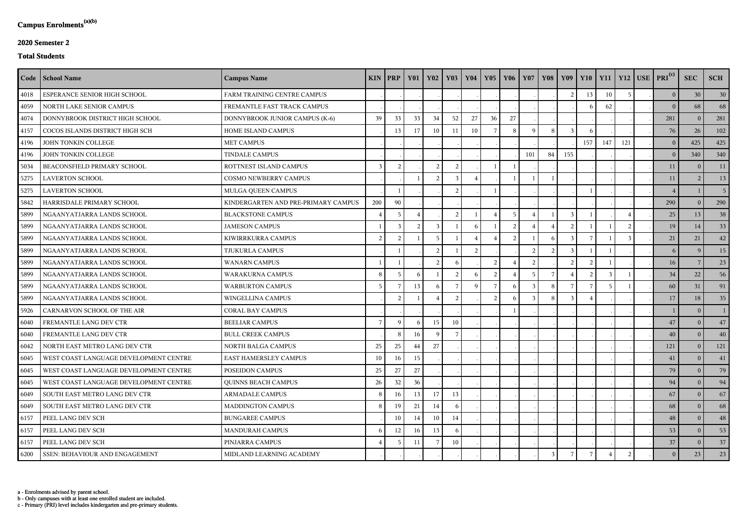c - Primary (PRI) level includes kindergarten and pre-primary students.

b - Only campuses with at least one enrolled student are included.

a - Enrolments advised by parent school.

## **2020 Semester 2**

## **Total Students**

|      | Code   School Name                     | <b>Campus Name</b>                  |                 | $KIN$ PRP      | <b>Y01</b>    | <b>Y02</b>    | <b>Y03</b>    | <b>Y04</b>    | <b>Y05</b>     | <b>Y06</b> | <b>Y07</b> | <b>Y08</b> | Y09       | $Y10$   $Y11$ |     |     | $Y12$ USE PRI <sup>(c)</sup> | <b>SEC</b>     | <b>SCH</b>     |
|------|----------------------------------------|-------------------------------------|-----------------|----------------|---------------|---------------|---------------|---------------|----------------|------------|------------|------------|-----------|---------------|-----|-----|------------------------------|----------------|----------------|
| 4018 | ESPERANCE SENIOR HIGH SCHOOL           | FARM TRAINING CENTRE CAMPUS         |                 |                |               |               |               |               |                |            |            |            | っ         | 13            | 10  |     | 0 <sup>1</sup>               | 30             | 30             |
| 4059 | NORTH LAKE SENIOR CAMPUS               | FREMANTLE FAST TRACK CAMPUS         |                 |                |               |               |               |               |                |            |            |            |           |               | 62  |     | $\Omega$                     | 68             | 68             |
| 4074 | DONNYBROOK DISTRICT HIGH SCHOOL        | DONNYBROOK JUNIOR CAMPUS (K-6)      | 39              | 33             | 33            | 34            | 52            | $27\,$        | 36             | 27         |            |            |           |               |     |     | 281                          | $\Omega$       | 281            |
| 4157 | COCOS ISLANDS DISTRICT HIGH SCH        | HOME ISLAND CAMPUS                  |                 | 13             | 17            | 10            | 11            | 10            | 7              | 8          | Q          | 8          |           |               |     |     | 76                           | 26             | 102            |
| 4196 | JOHN TONKIN COLLEGE                    | <b>MET CAMPUS</b>                   |                 |                |               |               |               |               |                |            |            |            |           | 157           | 147 | 121 | 0 <sup>1</sup>               | 425            | 425            |
| 4196 | JOHN TONKIN COLLEGE                    | <b>TINDALE CAMPUS</b>               |                 |                |               |               |               |               |                |            | 101        | 84         | 155       |               |     |     | 0 <sup>1</sup>               | 340            | 340            |
| 5034 | BEACONSFIELD PRIMARY SCHOOL            | ROTTNEST ISLAND CAMPUS              | $\mathcal{R}$   | $\overline{c}$ |               | -2            | ാ             |               |                |            |            |            |           |               |     |     | 11                           | $\Omega$       | 11             |
| 5275 | <b>LAVERTON SCHOOL</b>                 | <b>COSMO NEWBERRY CAMPUS</b>        |                 |                |               |               |               |               |                |            |            |            |           |               |     |     | 11                           |                | 13             |
| 5275 | <b>LAVERTON SCHOOL</b>                 | MULGA QUEEN CAMPUS                  |                 |                |               |               | $\mathcal{L}$ |               |                |            |            |            |           |               |     |     | $\overline{4}$               |                | 5 <sup>1</sup> |
| 5842 | HARRISDALE PRIMARY SCHOOL              | KINDERGARTEN AND PRE-PRIMARY CAMPUS | 200             | 90             |               |               |               |               |                |            |            |            |           |               |     |     | 290                          | $\overline{0}$ | 290            |
| 5899 | NGAANYATJARRA LANDS SCHOOL             | <b>BLACKSTONE CAMPUS</b>            |                 |                |               |               | $\mathcal{L}$ |               |                |            |            |            |           |               |     |     | 25                           | 13             | 38             |
| 5899 | NGAANYATJARRA LANDS SCHOOL             | <b>JAMESON CAMPUS</b>               |                 | $\overline{3}$ | $\mathcal{D}$ |               |               |               |                |            |            |            |           |               |     |     | 19                           | 14             | 33             |
| 5899 | NGAANYATJARRA LANDS SCHOOL             | KIWIRRKURRA CAMPUS                  | $\overline{2}$  | $\overline{2}$ |               |               |               |               |                |            |            |            |           |               |     |     | 21                           | 21             | 42             |
| 5899 | NGAANYATJARRA LANDS SCHOOL             | TJUKURLA CAMPUS                     |                 |                |               | $\mathcal{L}$ |               | $\mathcal{D}$ |                |            | っ          | ി          |           |               |     |     | 6                            | <sup>Q</sup>   | 15             |
| 5899 | NGAANYATJARRA LANDS SCHOOL             | <b>WANARN CAMPUS</b>                |                 |                |               | 2             |               |               | $\overline{2}$ |            | 2          |            | $\bigcap$ |               |     |     | 16                           |                | 23             |
| 5899 | NGAANYATJARRA LANDS SCHOOL             | WARAKURNA CAMPUS                    | 8               |                | -6            |               |               |               |                |            |            |            |           |               |     |     | 34                           | 22             | 56             |
| 5899 | NGAANYATJARRA LANDS SCHOOL             | <b>WARBURTON CAMPUS</b>             | $5\overline{5}$ |                | 13            |               |               |               |                |            |            | 8          |           |               |     |     | 60                           | 31             | 91             |
| 5899 | NGAANYATJARRA LANDS SCHOOL             | WINGELLINA CAMPUS                   |                 | $\overline{2}$ |               |               |               |               | $\mathcal{I}$  |            |            |            |           |               |     |     | 17                           | 18             | 35             |
| 5926 | CARNARVON SCHOOL OF THE AIR            | CORAL BAY CAMPUS                    |                 |                |               |               |               |               |                |            |            |            |           |               |     |     |                              | $\theta$       |                |
| 6040 | FREMANTLE LANG DEV CTR                 | <b>BEELIAR CAMPUS</b>               |                 | 9              | 6             | 15            | 10            |               |                |            |            |            |           |               |     |     | 47                           | $\overline{0}$ | 47             |
| 6040 | FREMANTLE LANG DEV CTR                 | <b>BULL CREEK CAMPUS</b>            |                 | 8              | 16            | $\mathbf Q$   |               |               |                |            |            |            |           |               |     |     | 40                           | $\overline{0}$ | 40             |
| 6042 | NORTH EAST METRO LANG DEV CTR          | <b>NORTH BALGA CAMPUS</b>           | 25              | 25             | 44            | 27            |               |               |                |            |            |            |           |               |     |     | 121                          | $\theta$       | 121            |
| 6045 | WEST COAST LANGUAGE DEVELOPMENT CENTRE | EAST HAMERSLEY CAMPUS               | 10              | 16             | 15            |               |               |               |                |            |            |            |           |               |     |     | 41                           | $\bf{0}$       | 41             |
| 6045 | WEST COAST LANGUAGE DEVELOPMENT CENTRE | POSEIDON CAMPUS                     | 25              | 27             | 27            |               |               |               |                |            |            |            |           |               |     |     | 79                           | $\overline{0}$ | 79             |
| 6045 | WEST COAST LANGUAGE DEVELOPMENT CENTRE | <b>QUINNS BEACH CAMPUS</b>          | 26              | 32             | 36            |               |               |               |                |            |            |            |           |               |     |     | 94                           | $\bf{0}$       | 94             |
| 6049 | SOUTH EAST METRO LANG DEV CTR          | <b>ARMADALE CAMPUS</b>              | 8               | 16             | 13            | 17            | 13            |               |                |            |            |            |           |               |     |     | 67                           | $\bf{0}$       | 67             |
| 6049 | SOUTH EAST METRO LANG DEV CTR          | MADDINGTON CAMPUS                   | -8              | 19             | 21            | 14            |               |               |                |            |            |            |           |               |     |     | 68                           | $\bf{0}$       | 68             |
| 6157 | PEEL LANG DEV SCH                      | <b>BUNGAREE CAMPUS</b>              |                 | 10             | 14            | 10            | 14            |               |                |            |            |            |           |               |     |     | 48                           | $\bigcirc$     | 48             |
| 6157 | PEEL LANG DEV SCH                      | MANDURAH CAMPUS                     |                 | 12             | 16            | 13            |               |               |                |            |            |            |           |               |     |     | 53                           | $\bigcirc$     | 53             |
| 6157 | PEEL LANG DEV SCH                      | PINJARRA CAMPUS                     |                 | -5             | 11            |               | $10\,$        |               |                |            |            |            |           |               |     |     | 37                           | $\mathbf{0}$   | 37             |
| 6200 | SSEN: BEHAVIOUR AND ENGAGEMENT         | MIDLAND LEARNING ACADEMY            |                 |                |               |               |               |               |                |            |            | 3          |           |               |     |     | $\theta$                     | 23             | 23             |